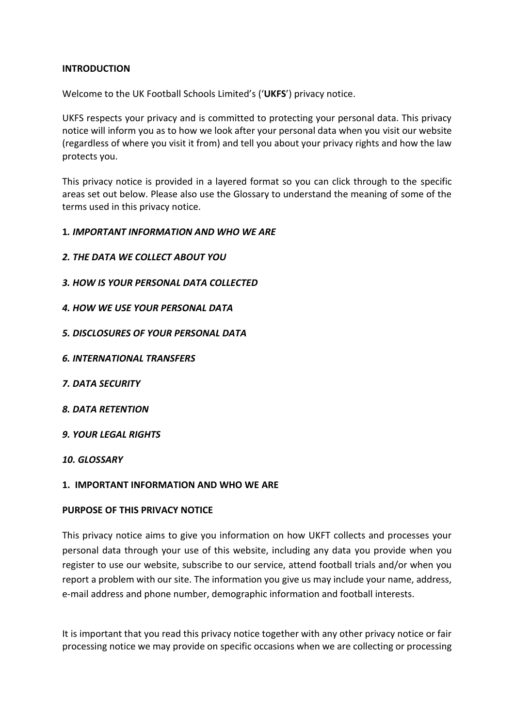# **INTRODUCTION**

Welcome to the UK Football Schools Limited's ('**UKFS**') privacy notice.

UKFS respects your privacy and is committed to protecting your personal data. This privacy notice will inform you as to how we look after your personal data when you visit our website (regardless of where you visit it from) and tell you about your privacy rights and how the law protects you.

This privacy notice is provided in a layered format so you can click through to the specific areas set out below. Please also use the Glossary to understand the meaning of some of the terms used in this privacy notice.

### **1***. IMPORTANT INFORMATION AND WHO WE ARE*

- *2. THE DATA WE COLLECT ABOUT YOU*
- *3. HOW IS YOUR PERSONAL DATA COLLECTED*
- *4. HOW WE USE YOUR PERSONAL DATA*
- *5. DISCLOSURES OF YOUR PERSONAL DATA*
- *6. INTERNATIONAL TRANSFERS*
- *7. DATA SECURITY*
- *8. DATA RETENTION*
- *9. YOUR LEGAL RIGHTS*

*10. GLOSSARY*

### **1. IMPORTANT INFORMATION AND WHO WE ARE**

### **PURPOSE OF THIS PRIVACY NOTICE**

This privacy notice aims to give you information on how UKFT collects and processes your personal data through your use of this website, including any data you provide when you register to use our website, subscribe to our service, attend football trials and/or when you report a problem with our site. The information you give us may include your name, address, e-mail address and phone number, demographic information and football interests.

It is important that you read this privacy notice together with any other privacy notice or fair processing notice we may provide on specific occasions when we are collecting or processing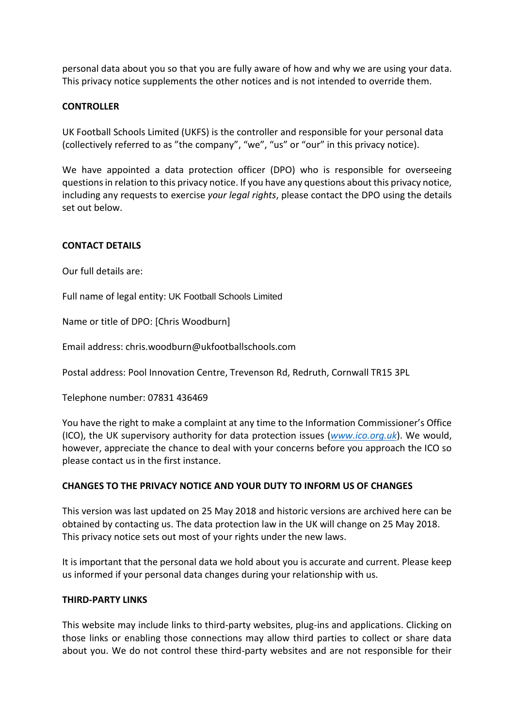personal data about you so that you are fully aware of how and why we are using your data. This privacy notice supplements the other notices and is not intended to override them.

## **CONTROLLER**

UK Football Schools Limited (UKFS) is the controller and responsible for your personal data (collectively referred to as "the company", "we", "us" or "our" in this privacy notice).

We have appointed a data protection officer (DPO) who is responsible for overseeing questions in relation to this privacy notice. If you have any questions about this privacy notice, including any requests to exercise *your legal rights*, please contact the DPO using the details set out below.

### **CONTACT DETAILS**

Our full details are:

Full name of legal entity: UK Football Schools Limited

Name or title of DPO: [Chris Woodburn]

Email address: chris.woodburn@ukfootballschools.com

Postal address: Pool Innovation Centre, Trevenson Rd, Redruth, Cornwall TR15 3PL

Telephone number: 07831 436469

You have the right to make a complaint at any time to the Information Commissioner's Office (ICO), the UK supervisory authority for data protection issues (*[www.ico.org.uk](http://www.ico.org.uk/)*). We would, however, appreciate the chance to deal with your concerns before you approach the ICO so please contact us in the first instance.

### **CHANGES TO THE PRIVACY NOTICE AND YOUR DUTY TO INFORM US OF CHANGES**

This version was last updated on 25 May 2018 and historic versions are archived here can be obtained by contacting us. The data protection law in the UK will change on 25 May 2018. This privacy notice sets out most of your rights under the new laws.

It is important that the personal data we hold about you is accurate and current. Please keep us informed if your personal data changes during your relationship with us.

### **THIRD-PARTY LINKS**

This website may include links to third-party websites, plug-ins and applications. Clicking on those links or enabling those connections may allow third parties to collect or share data about you. We do not control these third-party websites and are not responsible for their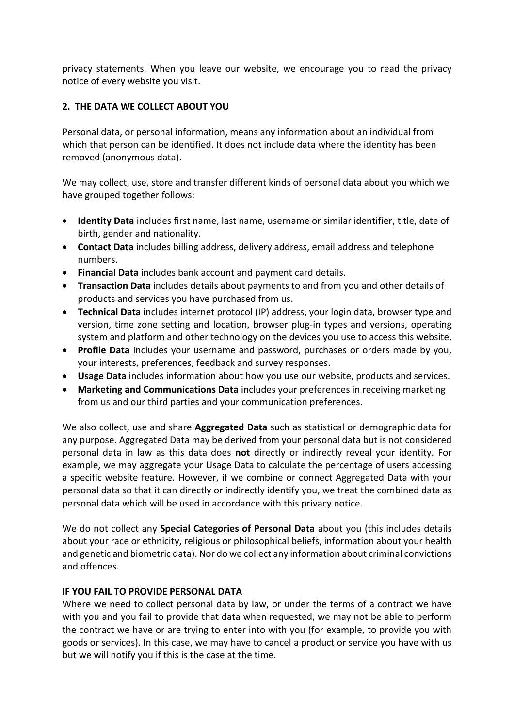privacy statements. When you leave our website, we encourage you to read the privacy notice of every website you visit.

# **2. THE DATA WE COLLECT ABOUT YOU**

Personal data, or personal information, means any information about an individual from which that person can be identified. It does not include data where the identity has been removed (anonymous data).

We may collect, use, store and transfer different kinds of personal data about you which we have grouped together follows:

- **Identity Data** includes first name, last name, username or similar identifier, title, date of birth, gender and nationality.
- **Contact Data** includes billing address, delivery address, email address and telephone numbers.
- **Financial Data** includes bank account and payment card details.
- **Transaction Data** includes details about payments to and from you and other details of products and services you have purchased from us.
- **Technical Data** includes internet protocol (IP) address, your login data, browser type and version, time zone setting and location, browser plug-in types and versions, operating system and platform and other technology on the devices you use to access this website.
- **Profile Data** includes your username and password, purchases or orders made by you, your interests, preferences, feedback and survey responses.
- **Usage Data** includes information about how you use our website, products and services.
- **Marketing and Communications Data** includes your preferences in receiving marketing from us and our third parties and your communication preferences.

We also collect, use and share **Aggregated Data** such as statistical or demographic data for any purpose. Aggregated Data may be derived from your personal data but is not considered personal data in law as this data does **not** directly or indirectly reveal your identity. For example, we may aggregate your Usage Data to calculate the percentage of users accessing a specific website feature. However, if we combine or connect Aggregated Data with your personal data so that it can directly or indirectly identify you, we treat the combined data as personal data which will be used in accordance with this privacy notice.

We do not collect any **Special Categories of Personal Data** about you (this includes details about your race or ethnicity, religious or philosophical beliefs, information about your health and genetic and biometric data). Nor do we collect any information about criminal convictions and offences.

# **IF YOU FAIL TO PROVIDE PERSONAL DATA**

Where we need to collect personal data by law, or under the terms of a contract we have with you and you fail to provide that data when requested, we may not be able to perform the contract we have or are trying to enter into with you (for example, to provide you with goods or services). In this case, we may have to cancel a product or service you have with us but we will notify you if this is the case at the time.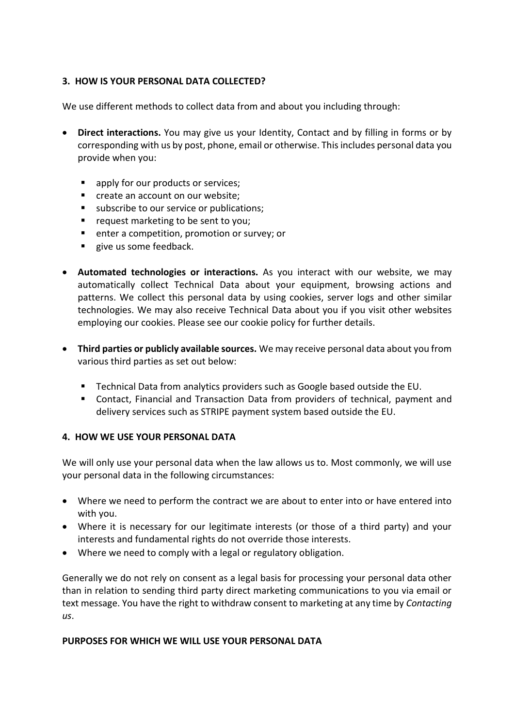# **3. HOW IS YOUR PERSONAL DATA COLLECTED?**

We use different methods to collect data from and about you including through:

- **Direct interactions.** You may give us your Identity, Contact and by filling in forms or by corresponding with us by post, phone, email or otherwise. This includes personal data you provide when you:
	- apply for our products or services;
	- create an account on our website;
	- subscribe to our service or publications;
	- request marketing to be sent to you;
	- enter a competition, promotion or survey; or
	- give us some feedback.
- **Automated technologies or interactions.** As you interact with our website, we may automatically collect Technical Data about your equipment, browsing actions and patterns. We collect this personal data by using cookies, server logs and other similar technologies. We may also receive Technical Data about you if you visit other websites employing our cookies. Please see our cookie policy for further details.
- **Third parties or publicly available sources.** We may receive personal data about you from various third parties as set out below:
	- Technical Data from analytics providers such as Google based outside the EU.
	- Contact, Financial and Transaction Data from providers of technical, payment and delivery services such as STRIPE payment system based outside the EU.

### **4. HOW WE USE YOUR PERSONAL DATA**

We will only use your personal data when the law allows us to. Most commonly, we will use your personal data in the following circumstances:

- Where we need to perform the contract we are about to enter into or have entered into with you.
- Where it is necessary for our legitimate interests (or those of a third party) and your interests and fundamental rights do not override those interests.
- Where we need to comply with a legal or regulatory obligation.

Generally we do not rely on consent as a legal basis for processing your personal data other than in relation to sending third party direct marketing communications to you via email or text message. You have the right to withdraw consent to marketing at any time by *Contacting us*.

### **PURPOSES FOR WHICH WE WILL USE YOUR PERSONAL DATA**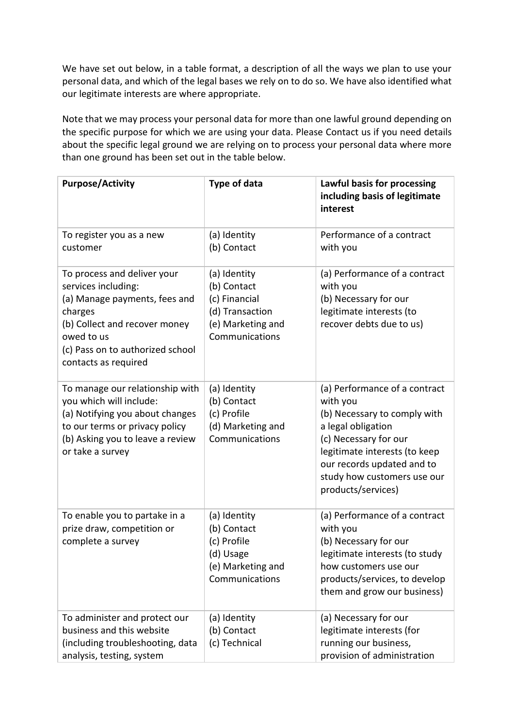We have set out below, in a table format, a description of all the ways we plan to use your personal data, and which of the legal bases we rely on to do so. We have also identified what our legitimate interests are where appropriate.

Note that we may process your personal data for more than one lawful ground depending on the specific purpose for which we are using your data. Please Contact us if you need details about the specific legal ground we are relying on to process your personal data where more than one ground has been set out in the table below.

| <b>Purpose/Activity</b>                                                                                                                                                                                   | Type of data                                                                                           | Lawful basis for processing<br>including basis of legitimate<br>interest                                                                                                                                                                     |
|-----------------------------------------------------------------------------------------------------------------------------------------------------------------------------------------------------------|--------------------------------------------------------------------------------------------------------|----------------------------------------------------------------------------------------------------------------------------------------------------------------------------------------------------------------------------------------------|
| To register you as a new<br>customer                                                                                                                                                                      | (a) Identity<br>(b) Contact                                                                            | Performance of a contract<br>with you                                                                                                                                                                                                        |
| To process and deliver your<br>services including:<br>(a) Manage payments, fees and<br>charges<br>(b) Collect and recover money<br>owed to us<br>(c) Pass on to authorized school<br>contacts as required | (a) Identity<br>(b) Contact<br>(c) Financial<br>(d) Transaction<br>(e) Marketing and<br>Communications | (a) Performance of a contract<br>with you<br>(b) Necessary for our<br>legitimate interests (to<br>recover debts due to us)                                                                                                                   |
| To manage our relationship with<br>you which will include:<br>(a) Notifying you about changes<br>to our terms or privacy policy<br>(b) Asking you to leave a review<br>or take a survey                   | (a) Identity<br>(b) Contact<br>(c) Profile<br>(d) Marketing and<br>Communications                      | (a) Performance of a contract<br>with you<br>(b) Necessary to comply with<br>a legal obligation<br>(c) Necessary for our<br>legitimate interests (to keep<br>our records updated and to<br>study how customers use our<br>products/services) |
| To enable you to partake in a<br>prize draw, competition or<br>complete a survey                                                                                                                          | (a) Identity<br>(b) Contact<br>(c) Profile<br>(d) Usage<br>(e) Marketing and<br>Communications         | (a) Performance of a contract<br>with you<br>(b) Necessary for our<br>legitimate interests (to study<br>how customers use our<br>products/services, to develop<br>them and grow our business)                                                |
| To administer and protect our<br>business and this website<br>(including troubleshooting, data<br>analysis, testing, system                                                                               | (a) Identity<br>(b) Contact<br>(c) Technical                                                           | (a) Necessary for our<br>legitimate interests (for<br>running our business,<br>provision of administration                                                                                                                                   |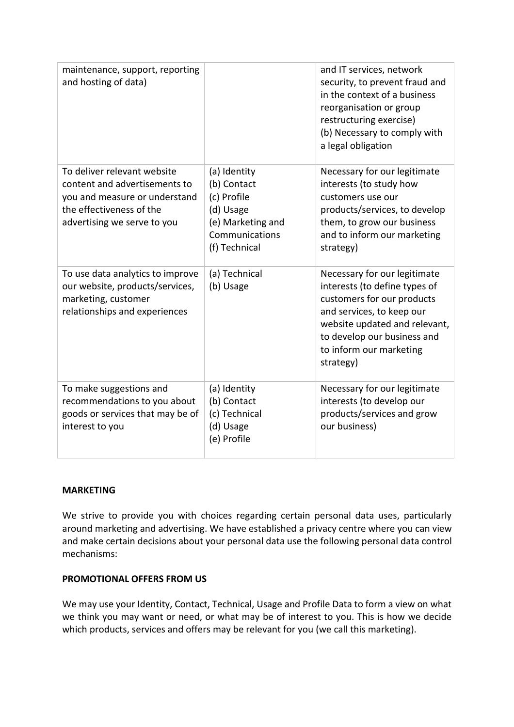| maintenance, support, reporting<br>and hosting of data)                                                                                                  |                                                                                                                 | and IT services, network<br>security, to prevent fraud and<br>in the context of a business<br>reorganisation or group<br>restructuring exercise)<br>(b) Necessary to comply with<br>a legal obligation                           |
|----------------------------------------------------------------------------------------------------------------------------------------------------------|-----------------------------------------------------------------------------------------------------------------|----------------------------------------------------------------------------------------------------------------------------------------------------------------------------------------------------------------------------------|
| To deliver relevant website<br>content and advertisements to<br>you and measure or understand<br>the effectiveness of the<br>advertising we serve to you | (a) Identity<br>(b) Contact<br>(c) Profile<br>(d) Usage<br>(e) Marketing and<br>Communications<br>(f) Technical | Necessary for our legitimate<br>interests (to study how<br>customers use our<br>products/services, to develop<br>them, to grow our business<br>and to inform our marketing<br>strategy)                                          |
| To use data analytics to improve<br>our website, products/services,<br>marketing, customer<br>relationships and experiences                              | (a) Technical<br>(b) Usage                                                                                      | Necessary for our legitimate<br>interests (to define types of<br>customers for our products<br>and services, to keep our<br>website updated and relevant,<br>to develop our business and<br>to inform our marketing<br>strategy) |
| To make suggestions and<br>recommendations to you about<br>goods or services that may be of<br>interest to you                                           | (a) Identity<br>(b) Contact<br>(c) Technical<br>(d) Usage<br>(e) Profile                                        | Necessary for our legitimate<br>interests (to develop our<br>products/services and grow<br>our business)                                                                                                                         |

### **MARKETING**

We strive to provide you with choices regarding certain personal data uses, particularly around marketing and advertising. We have established a privacy centre where you can view and make certain decisions about your personal data use the following personal data control mechanisms:

### **PROMOTIONAL OFFERS FROM US**

We may use your Identity, Contact, Technical, Usage and Profile Data to form a view on what we think you may want or need, or what may be of interest to you. This is how we decide which products, services and offers may be relevant for you (we call this marketing).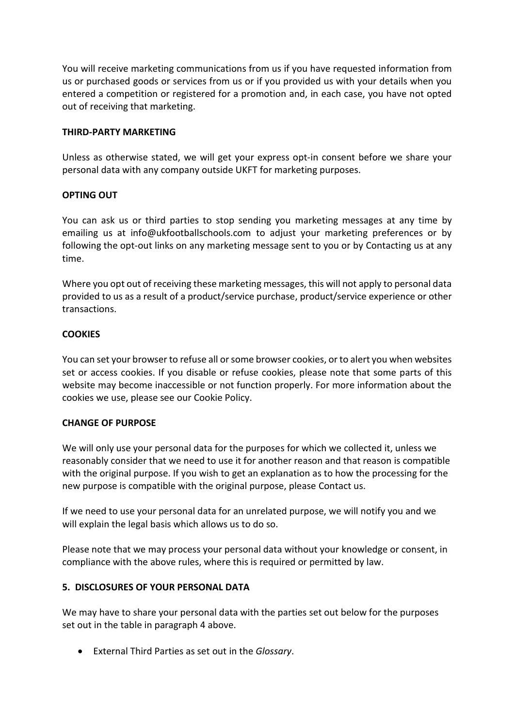You will receive marketing communications from us if you have requested information from us or purchased goods or services from us or if you provided us with your details when you entered a competition or registered for a promotion and, in each case, you have not opted out of receiving that marketing.

### **THIRD-PARTY MARKETING**

Unless as otherwise stated, we will get your express opt-in consent before we share your personal data with any company outside UKFT for marketing purposes.

## **OPTING OUT**

You can ask us or third parties to stop sending you marketing messages at any time by emailing us at info@ukfootballschools.com to adjust your marketing preferences or by following the opt-out links on any marketing message sent to you or by Contacting us at any time.

Where you opt out of receiving these marketing messages, this will not apply to personal data provided to us as a result of a product/service purchase, product/service experience or other transactions.

## **COOKIES**

You can set your browser to refuse all or some browser cookies, or to alert you when websites set or access cookies. If you disable or refuse cookies, please note that some parts of this website may become inaccessible or not function properly. For more information about the cookies we use, please see our Cookie Policy.

### **CHANGE OF PURPOSE**

We will only use your personal data for the purposes for which we collected it, unless we reasonably consider that we need to use it for another reason and that reason is compatible with the original purpose. If you wish to get an explanation as to how the processing for the new purpose is compatible with the original purpose, please Contact us.

If we need to use your personal data for an unrelated purpose, we will notify you and we will explain the legal basis which allows us to do so.

Please note that we may process your personal data without your knowledge or consent, in compliance with the above rules, where this is required or permitted by law.

# **5. DISCLOSURES OF YOUR PERSONAL DATA**

We may have to share your personal data with the parties set out below for the purposes set out in the table in paragraph 4 above.

• External Third Parties as set out in the *Glossary*.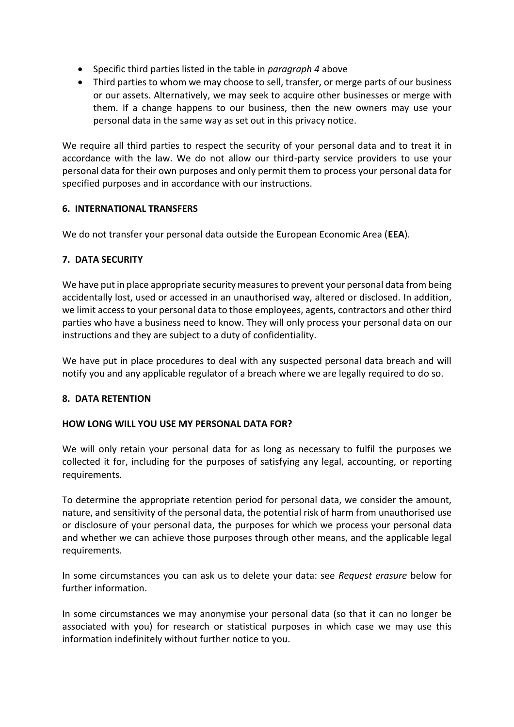- Specific third parties listed in the table in *paragraph 4* above
- Third parties to whom we may choose to sell, transfer, or merge parts of our business or our assets. Alternatively, we may seek to acquire other businesses or merge with them. If a change happens to our business, then the new owners may use your personal data in the same way as set out in this privacy notice.

We require all third parties to respect the security of your personal data and to treat it in accordance with the law. We do not allow our third-party service providers to use your personal data for their own purposes and only permit them to process your personal data for specified purposes and in accordance with our instructions.

## **6. INTERNATIONAL TRANSFERS**

We do not transfer your personal data outside the European Economic Area (**EEA**).

## **7. DATA SECURITY**

We have put in place appropriate security measures to prevent your personal data from being accidentally lost, used or accessed in an unauthorised way, altered or disclosed. In addition, we limit access to your personal data to those employees, agents, contractors and other third parties who have a business need to know. They will only process your personal data on our instructions and they are subject to a duty of confidentiality.

We have put in place procedures to deal with any suspected personal data breach and will notify you and any applicable regulator of a breach where we are legally required to do so.

### **8. DATA RETENTION**

### **HOW LONG WILL YOU USE MY PERSONAL DATA FOR?**

We will only retain your personal data for as long as necessary to fulfil the purposes we collected it for, including for the purposes of satisfying any legal, accounting, or reporting requirements.

To determine the appropriate retention period for personal data, we consider the amount, nature, and sensitivity of the personal data, the potential risk of harm from unauthorised use or disclosure of your personal data, the purposes for which we process your personal data and whether we can achieve those purposes through other means, and the applicable legal requirements.

In some circumstances you can ask us to delete your data: see *Request erasure* below for further information.

In some circumstances we may anonymise your personal data (so that it can no longer be associated with you) for research or statistical purposes in which case we may use this information indefinitely without further notice to you.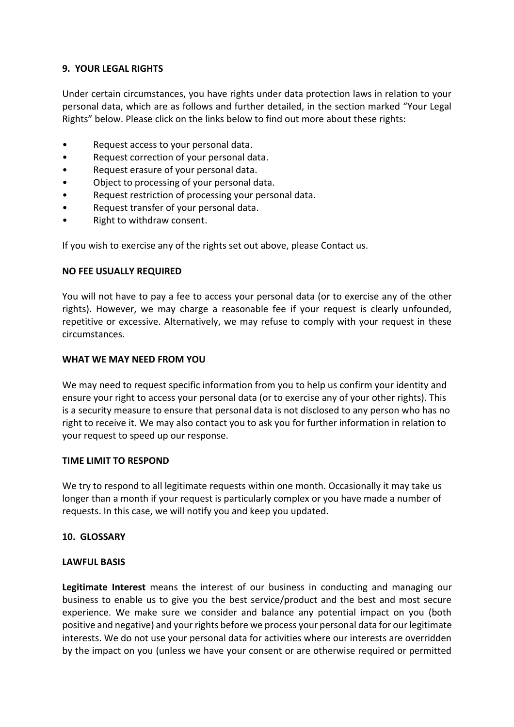# **9. YOUR LEGAL RIGHTS**

Under certain circumstances, you have rights under data protection laws in relation to your personal data, which are as follows and further detailed, in the section marked "Your Legal Rights" below. Please click on the links below to find out more about these rights:

- Request access to your personal data.
- Request correction of your personal data.
- Request erasure of your personal data.
- Object to processing of your personal data.
- Request restriction of processing your personal data.
- Request transfer of your personal data.
- Right to withdraw consent.

If you wish to exercise any of the rights set out above, please Contact us.

### **NO FEE USUALLY REQUIRED**

You will not have to pay a fee to access your personal data (or to exercise any of the other rights). However, we may charge a reasonable fee if your request is clearly unfounded, repetitive or excessive. Alternatively, we may refuse to comply with your request in these circumstances.

#### **WHAT WE MAY NEED FROM YOU**

We may need to request specific information from you to help us confirm your identity and ensure your right to access your personal data (or to exercise any of your other rights). This is a security measure to ensure that personal data is not disclosed to any person who has no right to receive it. We may also contact you to ask you for further information in relation to your request to speed up our response.

### **TIME LIMIT TO RESPOND**

We try to respond to all legitimate requests within one month. Occasionally it may take us longer than a month if your request is particularly complex or you have made a number of requests. In this case, we will notify you and keep you updated.

### **10. GLOSSARY**

#### **LAWFUL BASIS**

**Legitimate Interest** means the interest of our business in conducting and managing our business to enable us to give you the best service/product and the best and most secure experience. We make sure we consider and balance any potential impact on you (both positive and negative) and your rights before we process your personal data for our legitimate interests. We do not use your personal data for activities where our interests are overridden by the impact on you (unless we have your consent or are otherwise required or permitted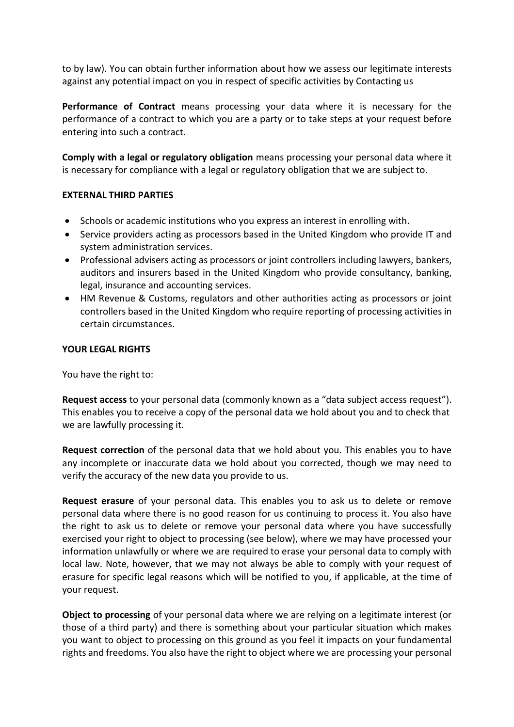to by law). You can obtain further information about how we assess our legitimate interests against any potential impact on you in respect of specific activities by Contacting us

**Performance of Contract** means processing your data where it is necessary for the performance of a contract to which you are a party or to take steps at your request before entering into such a contract.

**Comply with a legal or regulatory obligation** means processing your personal data where it is necessary for compliance with a legal or regulatory obligation that we are subject to.

## **EXTERNAL THIRD PARTIES**

- Schools or academic institutions who you express an interest in enrolling with.
- Service providers acting as processors based in the United Kingdom who provide IT and system administration services.
- Professional advisers acting as processors or joint controllers including lawyers, bankers, auditors and insurers based in the United Kingdom who provide consultancy, banking, legal, insurance and accounting services.
- HM Revenue & Customs, regulators and other authorities acting as processors or joint controllers based in the United Kingdom who require reporting of processing activities in certain circumstances.

## **YOUR LEGAL RIGHTS**

You have the right to:

**Request access** to your personal data (commonly known as a "data subject access request"). This enables you to receive a copy of the personal data we hold about you and to check that we are lawfully processing it.

**Request correction** of the personal data that we hold about you. This enables you to have any incomplete or inaccurate data we hold about you corrected, though we may need to verify the accuracy of the new data you provide to us.

**Request erasure** of your personal data. This enables you to ask us to delete or remove personal data where there is no good reason for us continuing to process it. You also have the right to ask us to delete or remove your personal data where you have successfully exercised your right to object to processing (see below), where we may have processed your information unlawfully or where we are required to erase your personal data to comply with local law. Note, however, that we may not always be able to comply with your request of erasure for specific legal reasons which will be notified to you, if applicable, at the time of your request.

**Object to processing** of your personal data where we are relying on a legitimate interest (or those of a third party) and there is something about your particular situation which makes you want to object to processing on this ground as you feel it impacts on your fundamental rights and freedoms. You also have the right to object where we are processing your personal